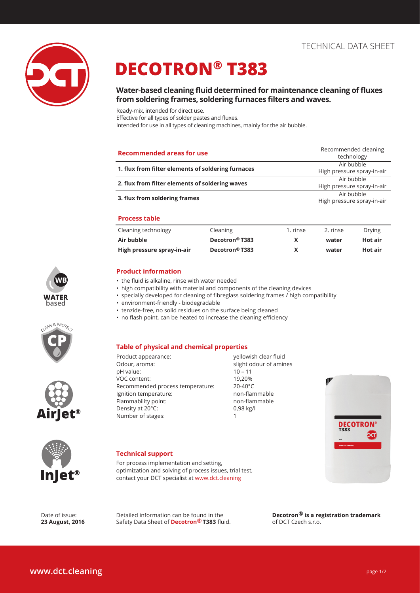

# **DECOTRON® T383**

# **Water-based cleaning fluid determined for maintenance cleaning of fluxes from soldering frames, soldering furnaces filters and waves.**

Ready-mix, intended for direct use.

Effective for all types of solder pastes and fluxes.

Intended for use in all types of cleaning machines, mainly for the air bubble.

| <b>Recommended areas for use</b>                   | Recommended cleaning<br>technology       |
|----------------------------------------------------|------------------------------------------|
| 1. flux from filter elements of soldering furnaces | Air bubble                               |
|                                                    | High pressure spray-in-air               |
|                                                    | Air bubble                               |
| 2. flux from filter elements of soldering waves    | High pressure spray-in-air               |
| 3. flux from soldering frames                      | Air bubble<br>High pressure spray-in-air |

### **Process table**

| Cleaning technology        | Cleaning                   | 1. rinse | 2. rinse | Drying  |
|----------------------------|----------------------------|----------|----------|---------|
| Air bubble                 | Decotron <sup>®</sup> T383 |          | water    | Hot air |
| High pressure spray-in-air | Decotron <sup>®</sup> T383 |          | water    | Hot air |

### **Product information**

- the fluid is alkaline, rinse with water needed
- high compatibility with material and components of the cleaning devices
- specially developed for cleaning of fibreglass soldering frames / high compatibility
- environment-friendly biodegradable
- tenzide-free, no solid residues on the surface being cleaned
- no flash point, can be heated to increase the cleaning efficiency

### **Table of physical and chemical properties**

pH value: 10 – 11 VOC content: 19,20% Recommended process temperature: 20-40°C Ignition temperature: non-flammable Flammability point: non-flammable Density at 20°C: 0,98 kg/l Number of stages: 1

yellowish clear fluid slight odour of amines





let®

**WB**

**WATER based**

AN & PROTE

### **Technical support**

For process implementation and setting, optimization and solving of process issues, trial test, contact your DCT specialist at www.dct.cleaning

Detailed information can be found in the Safety Data Sheet of **Decotron® T383** fluid.

Date of issue: **23 August, 2016** **Decotron® is a registration trademark**  of DCT Czech s.r.o.

| <b>Table of physical and chemica</b> |
|--------------------------------------|
| Product appearance:                  |
| Odour, aroma:                        |
| n Hunluon                            |